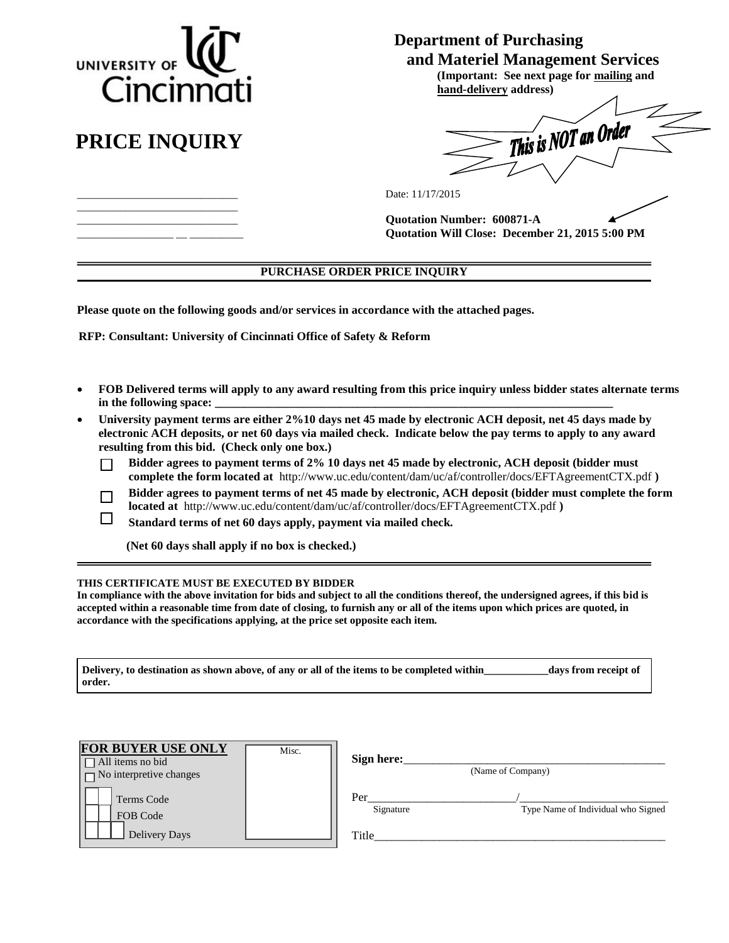

# **PRICE INQUIRY**

\_\_\_\_\_\_\_\_\_\_\_\_\_\_\_\_\_\_\_\_\_\_\_\_\_\_\_\_\_\_ \_\_\_\_\_\_\_\_\_\_\_\_\_\_\_\_\_\_\_\_\_\_\_\_\_\_\_\_\_\_ \_\_\_\_\_\_\_\_\_\_\_\_\_\_\_\_\_\_\_\_\_\_\_\_\_\_\_\_\_\_ \_\_\_\_\_\_\_\_\_\_\_\_\_\_\_\_\_\_ \_\_ \_\_\_\_\_\_\_\_\_\_

 $\Box$ 

# **Department of Purchasing**

 **and Materiel Management Services (Important: See next page for mailing and hand-delivery address)** 

This is NOT an Order

Date: 11/17/2015

**Quotation Number: 600871-A Quotation Will Close: December 21, 2015 5:00 PM**

# **PURCHASE ORDER PRICE INQUIRY**

**Please quote on the following goods and/or services in accordance with the attached pages.** 

 **RFP: Consultant: University of Cincinnati Office of Safety & Reform** 

- **FOB Delivered terms will apply to any award resulting from this price inquiry unless bidder states alternate terms** in the following space:
- **University payment terms are either 2%10 days net 45 made by electronic ACH deposit, net 45 days made by electronic ACH deposits, or net 60 days via mailed check. Indicate below the pay terms to apply to any award resulting from this bid. (Check only one box.)**
	- **Bidder agrees to payment terms of 2% 10 days net 45 made by electronic, ACH deposit (bidder must**  П **complete the form located at** <http://www.uc.edu/content/dam/uc/af/controller/docs/EFTAgreementCTX.pdf> **)**
	- **Bidder agrees to payment terms of net 45 made by electronic, ACH deposit (bidder must complete the form**   $\Box$ **located at** <http://www.uc.edu/content/dam/uc/af/controller/docs/EFTAgreementCTX.pdf> **)**

**Standard terms of net 60 days apply, payment via mailed check.** 

 **(Net 60 days shall apply if no box is checked.)**

#### **THIS CERTIFICATE MUST BE EXECUTED BY BIDDER**

**In compliance with the above invitation for bids and subject to all the conditions thereof, the undersigned agrees, if this bid is accepted within a reasonable time from date of closing, to furnish any or all of the items upon which prices are quoted, in accordance with the specifications applying, at the price set opposite each item.** 

**Delivery, to destination as shown above, of any or all of the items to be completed within\_\_\_\_\_\_\_\_\_\_\_\_days from receipt of order.** 

| <b>FOR BUYER USE ONLY</b><br>Misc.<br>$\Box$ All items no bid<br>$\Box$ No interpretive changes | Sign here:<br>(Name of Company)                                 |
|-------------------------------------------------------------------------------------------------|-----------------------------------------------------------------|
| Terms Code<br>FOB Code<br>Delivery Days                                                         | Per<br>Type Name of Individual who Signed<br>Signature<br>Title |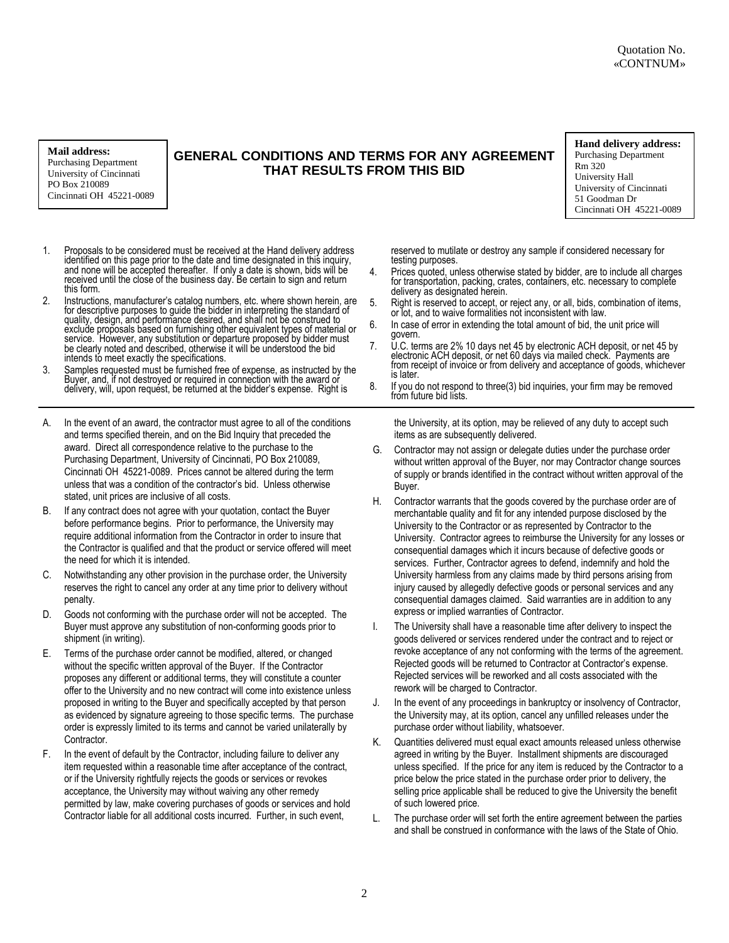#### **Mail address:**

Purchasing Department University of Cincinnati PO Box 210089 Cincinnati OH 45221-0089

# **GENERAL CONDITIONS AND TERMS FOR ANY AGREEMENT THAT RESULTS FROM THIS BID**

#### **Hand delivery address:**

Purchasing Department Rm 320 University Hall University of Cincinnati 51 Goodman Dr Cincinnati OH 45221-0089

- 1. Proposals to be considered must be received at the Hand delivery address identified on this page prior to the date and time designated in this inquiry, and none will be accepted thereafter. If only a date is shown, bids will be received until the close of the business day. Be certain to sign and return this form.
- 2. Instructions, manufacturer's catalog numbers, etc. where shown herein, are for descriptive purposes to guide the bidder in interpreting the standard of quality, design, and performance desired, and shall not be construed to exclude proposals based on furnishing other equivalent types of material or<br>service. However, any substitution or departure proposed by bidder must be clearly noted and described, otherwise it will be understood the bid intends to meet exactly the specifications.
- 3. Samples requested must be furnished free of expense, as instructed by the Buyer, and, if not destroyed or required in connection with the award or delivery, will, upon request, be returned at the bidder's expense. Right is
- A. In the event of an award, the contractor must agree to all of the conditions and terms specified therein, and on the Bid Inquiry that preceded the award. Direct all correspondence relative to the purchase to the Purchasing Department, University of Cincinnati, PO Box 210089, Cincinnati OH 45221-0089. Prices cannot be altered during the term unless that was a condition of the contractor's bid. Unless otherwise stated, unit prices are inclusive of all costs.
- B. If any contract does not agree with your quotation, contact the Buyer before performance begins. Prior to performance, the University may require additional information from the Contractor in order to insure that the Contractor is qualified and that the product or service offered will meet the need for which it is intended.
- C. Notwithstanding any other provision in the purchase order, the University reserves the right to cancel any order at any time prior to delivery without penalty.
- D. Goods not conforming with the purchase order will not be accepted. The Buyer must approve any substitution of non-conforming goods prior to shipment (in writing).
- E. Terms of the purchase order cannot be modified, altered, or changed without the specific written approval of the Buyer. If the Contractor proposes any different or additional terms, they will constitute a counter offer to the University and no new contract will come into existence unless proposed in writing to the Buyer and specifically accepted by that person as evidenced by signature agreeing to those specific terms. The purchase order is expressly limited to its terms and cannot be varied unilaterally by Contractor.
- F. In the event of default by the Contractor, including failure to deliver any item requested within a reasonable time after acceptance of the contract, or if the University rightfully rejects the goods or services or revokes acceptance, the University may without waiving any other remedy permitted by law, make covering purchases of goods or services and hold Contractor liable for all additional costs incurred. Further, in such event,

reserved to mutilate or destroy any sample if considered necessary for testing purposes.

- 4. Prices quoted, unless otherwise stated by bidder, are to include all charges for transportation, packing, crates, containers, etc. necessary to complete delivery as designated herein.
- 5. Right is reserved to accept, or reject any, or all, bids, combination of items, or lot, and to waive formalities not inconsistent with law.
- 6. In case of error in extending the total amount of bid, the unit price will govern.
- 7. U.C. terms are 2% 10 days net 45 by electronic ACH deposit, or net 45 by electronic ACH deposit, or net 60 days via mailed check. Payments are from receipt of invoice or from delivery and acceptance of goods, whichever is later.
- 8. If you do not respond to three(3) bid inquiries, your firm may be removed from future bid lists.

the University, at its option, may be relieved of any duty to accept such items as are subsequently delivered.

- G. Contractor may not assign or delegate duties under the purchase order without written approval of the Buyer, nor may Contractor change sources of supply or brands identified in the contract without written approval of the Buyer.
- H. Contractor warrants that the goods covered by the purchase order are of merchantable quality and fit for any intended purpose disclosed by the University to the Contractor or as represented by Contractor to the University. Contractor agrees to reimburse the University for any losses or consequential damages which it incurs because of defective goods or services. Further, Contractor agrees to defend, indemnify and hold the University harmless from any claims made by third persons arising from injury caused by allegedly defective goods or personal services and any consequential damages claimed. Said warranties are in addition to any express or implied warranties of Contractor.
- I. The University shall have a reasonable time after delivery to inspect the goods delivered or services rendered under the contract and to reject or revoke acceptance of any not conforming with the terms of the agreement. Rejected goods will be returned to Contractor at Contractor's expense. Rejected services will be reworked and all costs associated with the rework will be charged to Contractor.
- J. In the event of any proceedings in bankruptcy or insolvency of Contractor, the University may, at its option, cancel any unfilled releases under the purchase order without liability, whatsoever.
- K. Quantities delivered must equal exact amounts released unless otherwise agreed in writing by the Buyer. Installment shipments are discouraged unless specified. If the price for any item is reduced by the Contractor to a price below the price stated in the purchase order prior to delivery, the selling price applicable shall be reduced to give the University the benefit of such lowered price.
- L. The purchase order will set forth the entire agreement between the parties and shall be construed in conformance with the laws of the State of Ohio.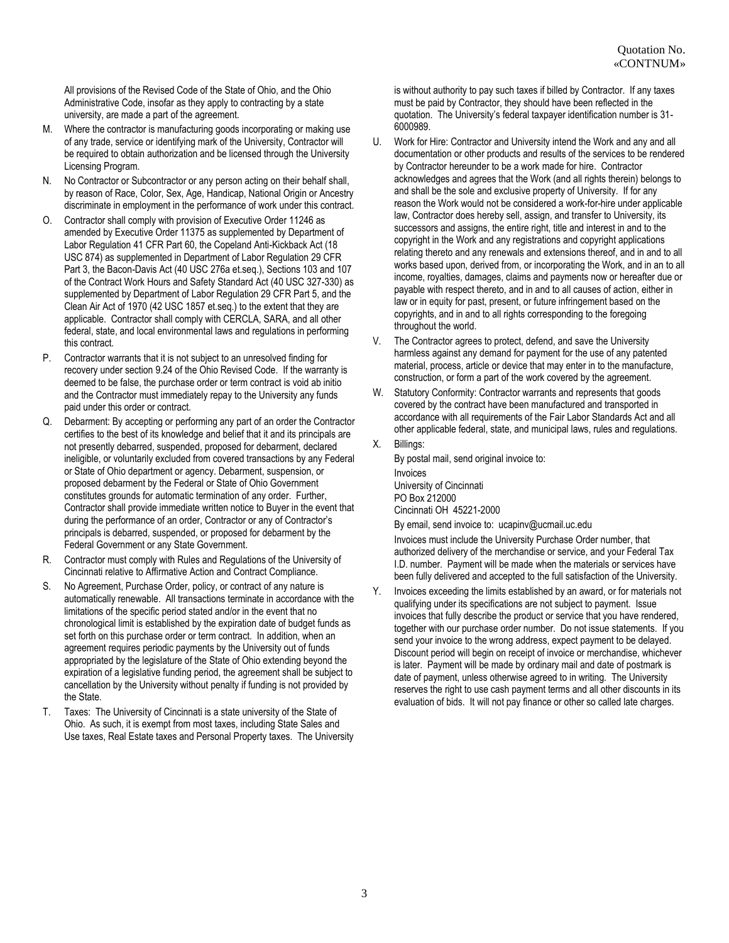All provisions of the Revised Code of the State of Ohio, and the Ohio Administrative Code, insofar as they apply to contracting by a state university, are made a part of the agreement.

- M. Where the contractor is manufacturing goods incorporating or making use of any trade, service or identifying mark of the University, Contractor will be required to obtain authorization and be licensed through the University Licensing Program.
- N. No Contractor or Subcontractor or any person acting on their behalf shall, by reason of Race, Color, Sex, Age, Handicap, National Origin or Ancestry discriminate in employment in the performance of work under this contract.
- O. Contractor shall comply with provision of Executive Order 11246 as amended by Executive Order 11375 as supplemented by Department of Labor Regulation 41 CFR Part 60, the Copeland Anti-Kickback Act (18 USC 874) as supplemented in Department of Labor Regulation 29 CFR Part 3, the Bacon-Davis Act (40 USC 276a et.seq.), Sections 103 and 107 of the Contract Work Hours and Safety Standard Act (40 USC 327-330) as supplemented by Department of Labor Regulation 29 CFR Part 5, and the Clean Air Act of 1970 (42 USC 1857 et.seq.) to the extent that they are applicable. Contractor shall comply with CERCLA, SARA, and all other federal, state, and local environmental laws and regulations in performing this contract.
- P. Contractor warrants that it is not subject to an unresolved finding for recovery under section 9.24 of the Ohio Revised Code. If the warranty is deemed to be false, the purchase order or term contract is void ab initio and the Contractor must immediately repay to the University any funds paid under this order or contract.
- Q. Debarment: By accepting or performing any part of an order the Contractor certifies to the best of its knowledge and belief that it and its principals are not presently debarred, suspended, proposed for debarment, declared ineligible, or voluntarily excluded from covered transactions by any Federal or State of Ohio department or agency. Debarment, suspension, or proposed debarment by the Federal or State of Ohio Government constitutes grounds for automatic termination of any order. Further, Contractor shall provide immediate written notice to Buyer in the event that during the performance of an order, Contractor or any of Contractor's principals is debarred, suspended, or proposed for debarment by the Federal Government or any State Government.
- R. Contractor must comply with Rules and Regulations of the University of Cincinnati relative to Affirmative Action and Contract Compliance.
- S. No Agreement, Purchase Order, policy, or contract of any nature is automatically renewable. All transactions terminate in accordance with the limitations of the specific period stated and/or in the event that no chronological limit is established by the expiration date of budget funds as set forth on this purchase order or term contract. In addition, when an agreement requires periodic payments by the University out of funds appropriated by the legislature of the State of Ohio extending beyond the expiration of a legislative funding period, the agreement shall be subject to cancellation by the University without penalty if funding is not provided by the State.
- T. Taxes: The University of Cincinnati is a state university of the State of Ohio. As such, it is exempt from most taxes, including State Sales and Use taxes, Real Estate taxes and Personal Property taxes. The University

is without authority to pay such taxes if billed by Contractor. If any taxes must be paid by Contractor, they should have been reflected in the quotation. The University's federal taxpayer identification number is 31- 6000989.

- U. Work for Hire: Contractor and University intend the Work and any and all documentation or other products and results of the services to be rendered by Contractor hereunder to be a work made for hire. Contractor acknowledges and agrees that the Work (and all rights therein) belongs to and shall be the sole and exclusive property of University. If for any reason the Work would not be considered a work-for-hire under applicable law, Contractor does hereby sell, assign, and transfer to University, its successors and assigns, the entire right, title and interest in and to the copyright in the Work and any registrations and copyright applications relating thereto and any renewals and extensions thereof, and in and to all works based upon, derived from, or incorporating the Work, and in an to all income, royalties, damages, claims and payments now or hereafter due or payable with respect thereto, and in and to all causes of action, either in law or in equity for past, present, or future infringement based on the copyrights, and in and to all rights corresponding to the foregoing throughout the world.
- V. The Contractor agrees to protect, defend, and save the University harmless against any demand for payment for the use of any patented material, process, article or device that may enter in to the manufacture, construction, or form a part of the work covered by the agreement.
- W. Statutory Conformity: Contractor warrants and represents that goods covered by the contract have been manufactured and transported in accordance with all requirements of the Fair Labor Standards Act and all other applicable federal, state, and municipal laws, rules and regulations.
- X. Billings:

By postal mail, send original invoice to: Invoices University of Cincinnati PO Box 212000 Cincinnati OH 45221-2000

By email, send invoice to: ucapinv@ucmail.uc.edu

Invoices must include the University Purchase Order number, that authorized delivery of the merchandise or service, and your Federal Tax I.D. number. Payment will be made when the materials or services have been fully delivered and accepted to the full satisfaction of the University.

Y. Invoices exceeding the limits established by an award, or for materials not qualifying under its specifications are not subject to payment. Issue invoices that fully describe the product or service that you have rendered, together with our purchase order number. Do not issue statements. If you send your invoice to the wrong address, expect payment to be delayed. Discount period will begin on receipt of invoice or merchandise, whichever is later. Payment will be made by ordinary mail and date of postmark is date of payment, unless otherwise agreed to in writing. The University reserves the right to use cash payment terms and all other discounts in its evaluation of bids. It will not pay finance or other so called late charges.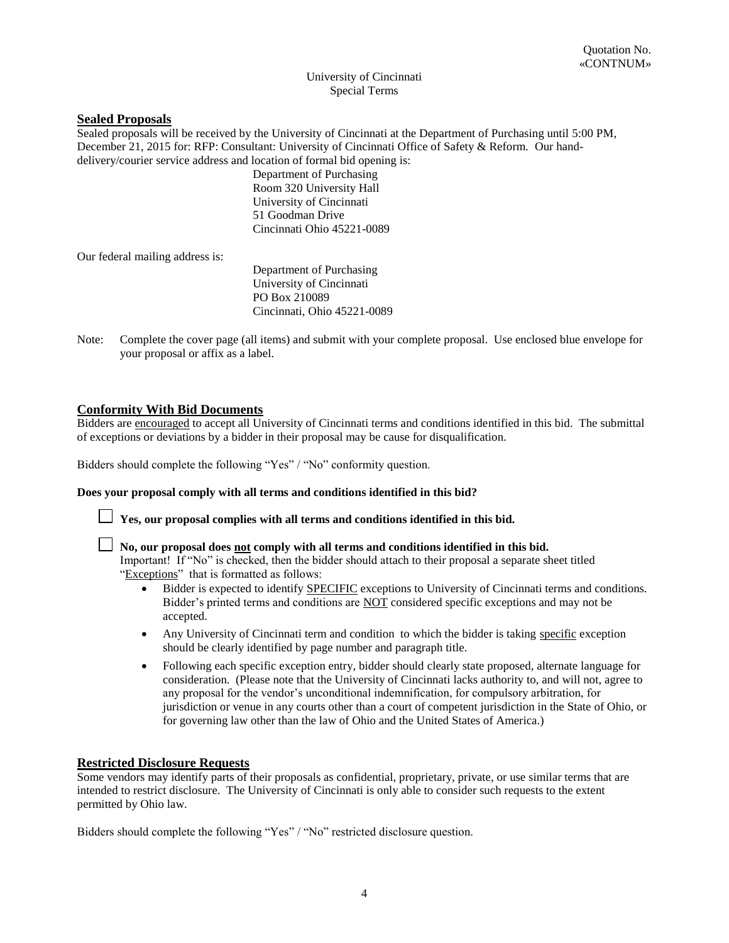#### University of Cincinnati Special Terms

# **Sealed Proposals**

Sealed proposals will be received by the University of Cincinnati at the Department of Purchasing until 5:00 PM, December 21, 2015 for: RFP: Consultant: University of Cincinnati Office of Safety & Reform. Our handdelivery/courier service address and location of formal bid opening is:

> Department of Purchasing Room 320 University Hall University of Cincinnati 51 Goodman Drive Cincinnati Ohio 45221-0089

Our federal mailing address is:

Department of Purchasing University of Cincinnati PO Box 210089 Cincinnati, Ohio 45221-0089

Note: Complete the cover page (all items) and submit with your complete proposal. Use enclosed blue envelope for your proposal or affix as a label.

# **Conformity With Bid Documents**

Bidders are encouraged to accept all University of Cincinnati terms and conditions identified in this bid. The submittal of exceptions or deviations by a bidder in their proposal may be cause for disqualification.

Bidders should complete the following "Yes" / "No" conformity question.

#### **Does your proposal comply with all terms and conditions identified in this bid?**



**Yes, our proposal complies with all terms and conditions identified in this bid.** 

**No, our proposal does not comply with all terms and conditions identified in this bid.**  Important! If "No" is checked, then the bidder should attach to their proposal a separate sheet titled "Exceptions" that is formatted as follows:

- Bidder is expected to identify SPECIFIC exceptions to University of Cincinnati terms and conditions. Bidder's printed terms and conditions are NOT considered specific exceptions and may not be accepted.
- Any University of Cincinnati term and condition to which the bidder is taking specific exception should be clearly identified by page number and paragraph title.
- Following each specific exception entry, bidder should clearly state proposed, alternate language for consideration. (Please note that the University of Cincinnati lacks authority to, and will not, agree to any proposal for the vendor's unconditional indemnification, for compulsory arbitration, for jurisdiction or venue in any courts other than a court of competent jurisdiction in the State of Ohio, or for governing law other than the law of Ohio and the United States of America.)

# **Restricted Disclosure Requests**

Some vendors may identify parts of their proposals as confidential, proprietary, private, or use similar terms that are intended to restrict disclosure. The University of Cincinnati is only able to consider such requests to the extent permitted by Ohio law.

Bidders should complete the following "Yes" / "No" restricted disclosure question.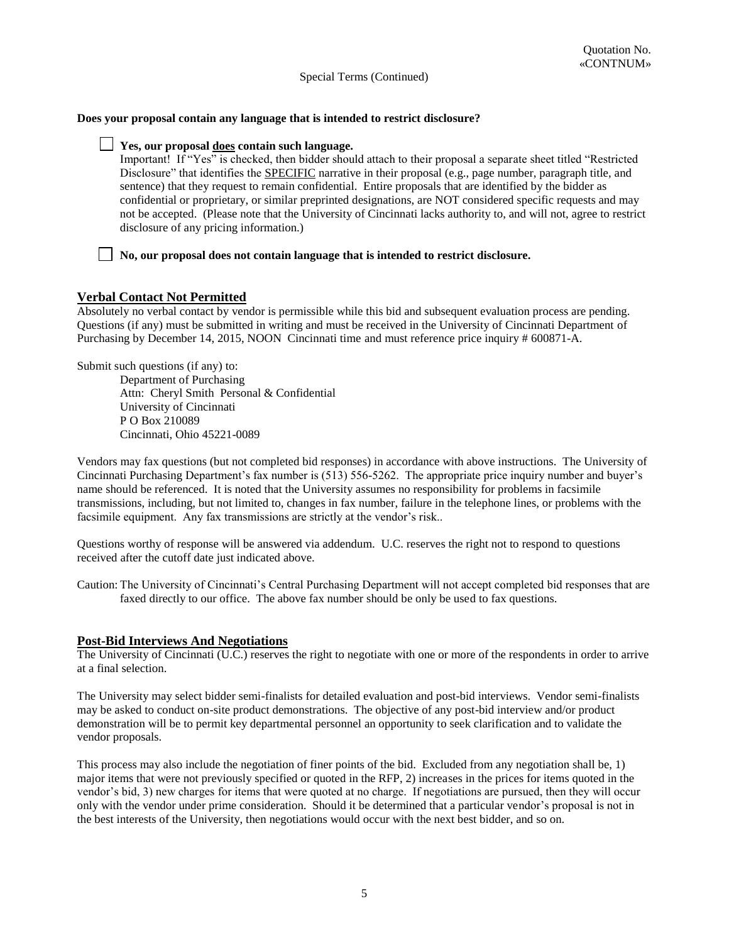#### **Does your proposal contain any language that is intended to restrict disclosure?**

#### **Yes, our proposal does contain such language.**

Important! If "Yes" is checked, then bidder should attach to their proposal a separate sheet titled "Restricted Disclosure" that identifies the SPECIFIC narrative in their proposal (e.g., page number, paragraph title, and sentence) that they request to remain confidential. Entire proposals that are identified by the bidder as confidential or proprietary, or similar preprinted designations, are NOT considered specific requests and may not be accepted. (Please note that the University of Cincinnati lacks authority to, and will not, agree to restrict disclosure of any pricing information.)

#### **No, our proposal does not contain language that is intended to restrict disclosure.**

# **Verbal Contact Not Permitted**

Absolutely no verbal contact by vendor is permissible while this bid and subsequent evaluation process are pending. Questions (if any) must be submitted in writing and must be received in the University of Cincinnati Department of Purchasing by December 14, 2015, NOON Cincinnati time and must reference price inquiry # 600871-A.

Submit such questions (if any) to:

 Department of Purchasing Attn: Cheryl Smith Personal & Confidential University of Cincinnati P O Box 210089 Cincinnati, Ohio 45221-0089

Vendors may fax questions (but not completed bid responses) in accordance with above instructions. The University of Cincinnati Purchasing Department's fax number is (513) 556-5262. The appropriate price inquiry number and buyer's name should be referenced. It is noted that the University assumes no responsibility for problems in facsimile transmissions, including, but not limited to, changes in fax number, failure in the telephone lines, or problems with the facsimile equipment. Any fax transmissions are strictly at the vendor's risk..

Questions worthy of response will be answered via addendum. U.C. reserves the right not to respond to questions received after the cutoff date just indicated above.

Caution: The University of Cincinnati's Central Purchasing Department will not accept completed bid responses that are faxed directly to our office. The above fax number should be only be used to fax questions.

#### **Post-Bid Interviews And Negotiations**

The University of Cincinnati (U.C.) reserves the right to negotiate with one or more of the respondents in order to arrive at a final selection.

The University may select bidder semi-finalists for detailed evaluation and post-bid interviews. Vendor semi-finalists may be asked to conduct on-site product demonstrations. The objective of any post-bid interview and/or product demonstration will be to permit key departmental personnel an opportunity to seek clarification and to validate the vendor proposals.

This process may also include the negotiation of finer points of the bid. Excluded from any negotiation shall be, 1) major items that were not previously specified or quoted in the RFP, 2) increases in the prices for items quoted in the vendor's bid, 3) new charges for items that were quoted at no charge. If negotiations are pursued, then they will occur only with the vendor under prime consideration. Should it be determined that a particular vendor's proposal is not in the best interests of the University, then negotiations would occur with the next best bidder, and so on.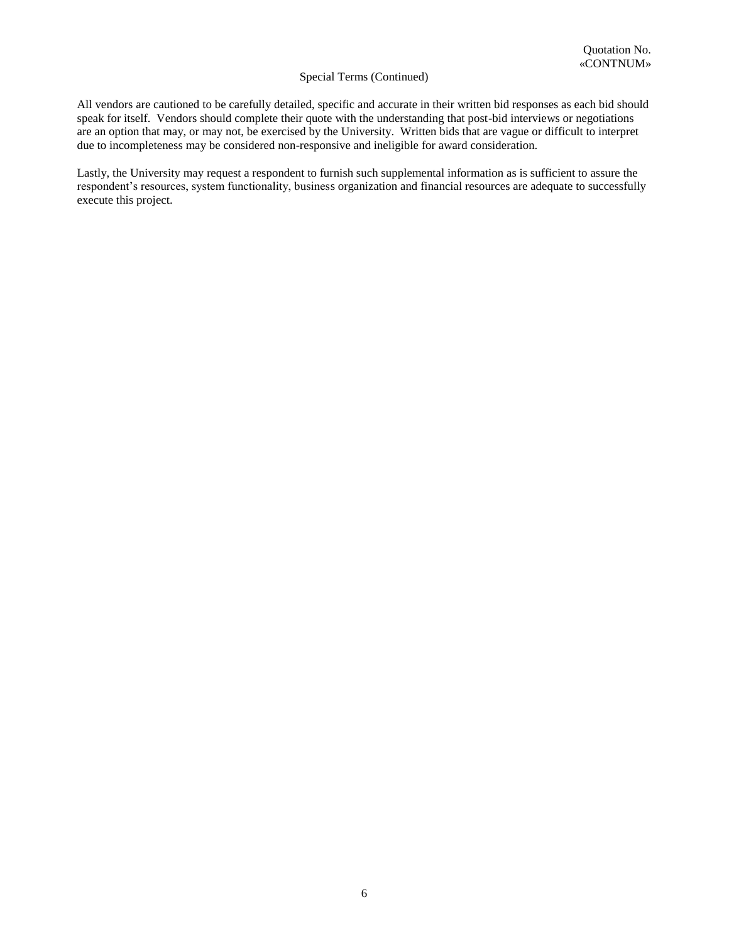All vendors are cautioned to be carefully detailed, specific and accurate in their written bid responses as each bid should speak for itself. Vendors should complete their quote with the understanding that post-bid interviews or negotiations are an option that may, or may not, be exercised by the University. Written bids that are vague or difficult to interpret due to incompleteness may be considered non-responsive and ineligible for award consideration.

Lastly, the University may request a respondent to furnish such supplemental information as is sufficient to assure the respondent's resources, system functionality, business organization and financial resources are adequate to successfully execute this project.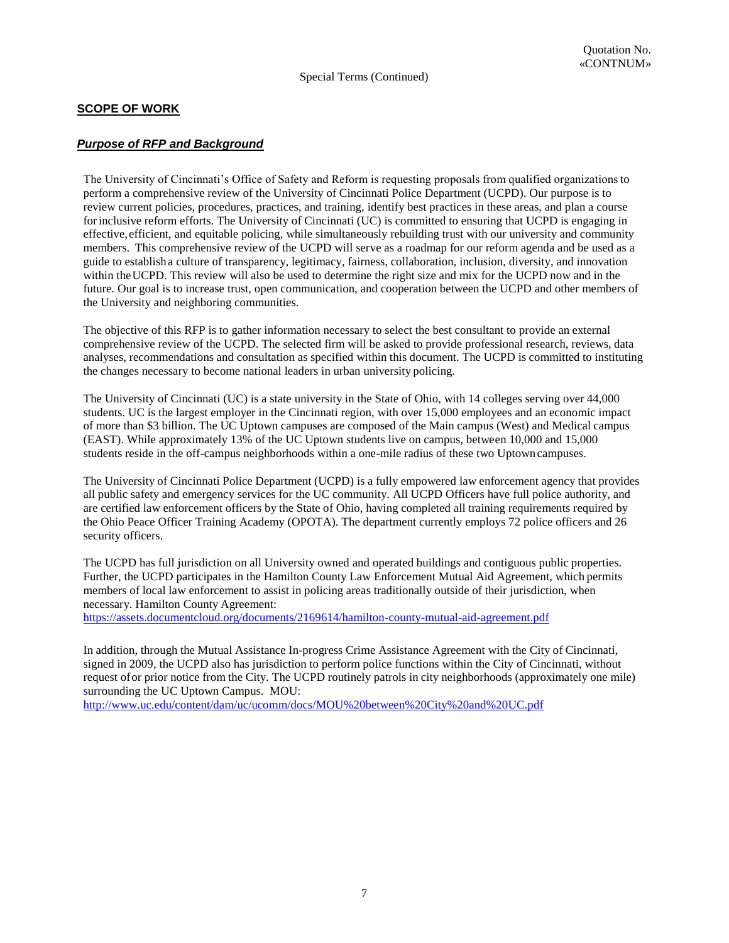# **SCOPE OF WORK**

# *Purpose of RFP and Background*

The University of Cincinnati's Office of Safety and Reform is requesting proposals from qualified organizations to perform a comprehensive review of the University of Cincinnati Police Department (UCPD). Our purpose is to review current policies, procedures, practices, and training, identify best practices in these areas, and plan a course for inclusive reform efforts. The University of Cincinnati (UC) is committed to ensuring that UCPD is engaging in effective, efficient, and equitable policing, while simultaneously rebuilding trust with our university and community members. This comprehensive review of the UCPD will serve as a roadmap for our reform agenda and be used as a guide to establish a culture of transparency, legitimacy, fairness, collaboration, inclusion, diversity, and innovation within the UCPD. This review will also be used to determine the right size and mix for the UCPD now and in the future. Our goal is to increase trust, open communication, and cooperation between the UCPD and other members of the University and neighboring communities.

Special Terms (Continued)

The objective of this RFP is to gather information necessary to select the best consultant to provide an external comprehensive review of the UCPD. The selected firm will be asked to provide professional research, reviews, data analyses, recommendations and consultation as specified within this document. The UCPD is committed to instituting the changes necessary to become national leaders in urban university policing.

The University of Cincinnati (UC) is a state university in the State of Ohio, with 14 colleges serving over 44,000 students. UC is the largest employer in the Cincinnati region, with over 15,000 employees and an economic impact of more than \$3 billion. The UC Uptown campuses are composed of the Main campus (West) and Medical campus (EAST). While approximately 13% of the UC Uptown students live on campus, between 10,000 and 15,000 students reside in the off-campus neighborhoods within a one-mile radius of these two Uptown campuses.

The University of Cincinnati Police Department (UCPD) is a fully empowered law enforcement agency that provides all public safety and emergency services for the UC community. All UCPD Officers have full police authority, and are certified law enforcement officers by the State of Ohio, having completed all training requirements required by the Ohio Peace Officer Training Academy (OPOTA). The department currently employs 72 police officers and 26 security officers.

The UCPD has full jurisdiction on all University owned and operated buildings and contiguous public properties. Further, the UCPD participates in the Hamilton County Law Enforcement Mutual Aid Agreement, which permits members of local law enforcement to assist in policing areas traditionally outside of their jurisdiction, when necessary. Hamilton County Agreement:

<https://assets.documentcloud.org/documents/2169614/hamilton-county-mutual-aid-agreement.pdf>

In addition, through the Mutual Assistance In-progress Crime Assistance Agreement with the City of Cincinnati, signed in 2009, the UCPD also has jurisdiction to perform police functions within the City of Cincinnati, without request of or prior notice from the City. The UCPD routinely patrols in city neighborhoods (approximately one mile) surrounding the UC Uptown Campus. MOU:

<http://www.uc.edu/content/dam/uc/ucomm/docs/MOU%20between%20City%20and%20UC.pdf>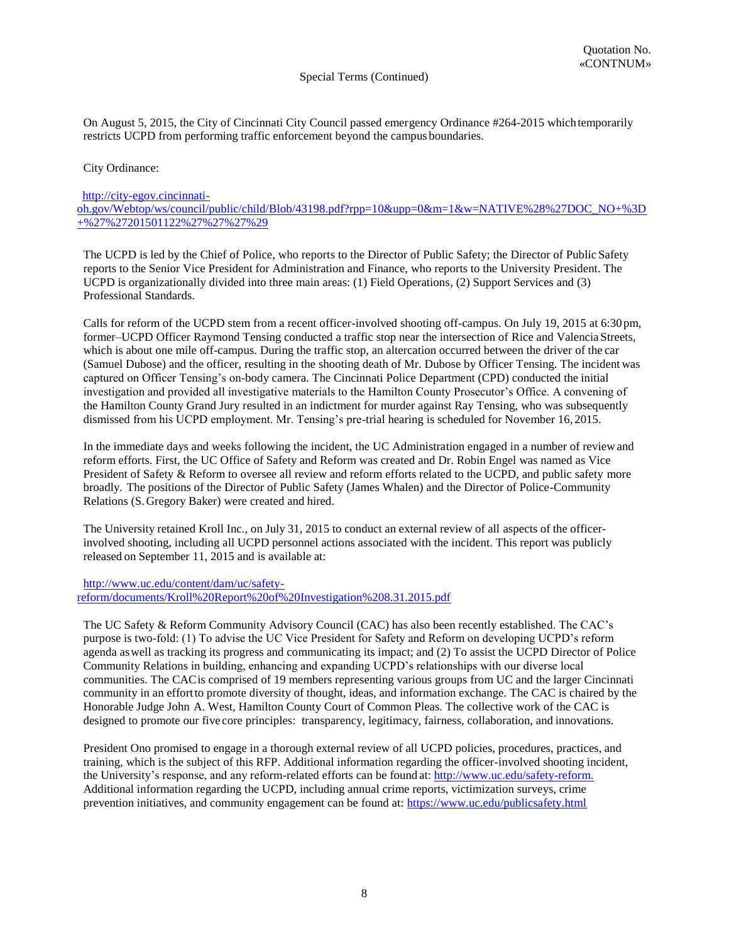On August 5, 2015, the City of Cincinnati City Council passed emergency Ordinance #264-2015 which temporarily restricts UCPD from performing traffic enforcement beyond the campus boundaries.

City Ordinance:

# [http://city-egov.cincinnati](http://city-egov.cincinnati-oh.gov/Webtop/ws/council/public/child/Blob/43198.pdf?rpp=10&upp=0&m=1&w=NATIVE%28%27DOC_NO+%3D+%27%27201501122%27%27%27%29)[oh.gov/Webtop/ws/council/public/child/Blob/43198.pdf?rpp=10&upp=0&m=1&w=NATIVE%28%27DOC\\_NO+%3D](http://city-egov.cincinnati-oh.gov/Webtop/ws/council/public/child/Blob/43198.pdf?rpp=10&upp=0&m=1&w=NATIVE%28%27DOC_NO+%3D+%27%27201501122%27%27%27%29) [+%27%27201501122%27%27%27%29](http://city-egov.cincinnati-oh.gov/Webtop/ws/council/public/child/Blob/43198.pdf?rpp=10&upp=0&m=1&w=NATIVE%28%27DOC_NO+%3D+%27%27201501122%27%27%27%29)

The UCPD is led by the Chief of Police, who reports to the Director of Public Safety; the Director of Public Safety reports to the Senior Vice President for Administration and Finance, who reports to the University President. The UCPD is organizationally divided into three main areas: (1) Field Operations, (2) Support Services and (3) Professional Standards.

Calls for reform of the UCPD stem from a recent officer-involved shooting off-campus. On July 19, 2015 at 6:30 pm, former–UCPD Officer Raymond Tensing conducted a traffic stop near the intersection of Rice and Valencia Streets, which is about one mile off-campus. During the traffic stop, an altercation occurred between the driver of the car (Samuel Dubose) and the officer, resulting in the shooting death of Mr. Dubose by Officer Tensing. The incident was captured on Officer Tensing's on-body camera. The Cincinnati Police Department (CPD) conducted the initial investigation and provided all investigative materials to the Hamilton County Prosecutor's Office. A convening of the Hamilton County Grand Jury resulted in an indictment for murder against Ray Tensing, who was subsequently dismissed from his UCPD employment. Mr. Tensing's pre-trial hearing is scheduled for November 16, 2015.

In the immediate days and weeks following the incident, the UC Administration engaged in a number of review and reform efforts. First, the UC Office of Safety and Reform was created and Dr. Robin Engel was named as Vice President of Safety & Reform to oversee all review and reform efforts related to the UCPD, and public safety more broadly. The positions of the Director of Public Safety (James Whalen) and the Director of Police-Community Relations (S. Gregory Baker) were created and hired.

The University retained Kroll Inc., on July 31, 2015 to conduct an external review of all aspects of the officerinvolved shooting, including all UCPD personnel actions associated with the incident. This report was publicly released on September 11, 2015 and is available at:

[http://www.uc.edu/content/dam/uc/safety](http://www.uc.edu/content/dam/uc/safety-reform/documents/Kroll%20Report%20of%20Investigation%208.31.2015.pdf)[reform/documents/Kroll%20Report%20of%20Investigation%208.31.2015.pdf](http://www.uc.edu/content/dam/uc/safety-reform/documents/Kroll%20Report%20of%20Investigation%208.31.2015.pdf)

The UC Safety & Reform Community Advisory Council (CAC) has also been recently established. The CAC's purpose is two-fold: (1) To advise the UC Vice President for Safety and Reform on developing UCPD's reform agenda as well as tracking its progress and communicating its impact; and (2) To assist the UCPD Director of Police Community Relations in building, enhancing and expanding UCPD's relationships with our diverse local communities. The CAC is comprised of 19 members representing various groups from UC and the larger Cincinnati community in an effort to promote diversity of thought, ideas, and information exchange. The CAC is chaired by the Honorable Judge John A. West, Hamilton County Court of Common Pleas. The collective work of the CAC is designed to promote our five core principles: transparency, legitimacy, fairness, collaboration, and innovations.

President Ono promised to engage in a thorough external review of all UCPD policies, procedures, practices, and training, which is the subject of this RFP. Additional information regarding the officer-involved shooting incident, the University's response, and any reform-related efforts can be found at[: http://www.uc.edu/safety-reform.](http://www.uc.edu/safety-reform)  Additional information regarding the UCPD, including annual crime reports, victimization surveys, crime prevention initiatives, and community engagement can be found at:<https://www.uc.edu/publicsafety.html>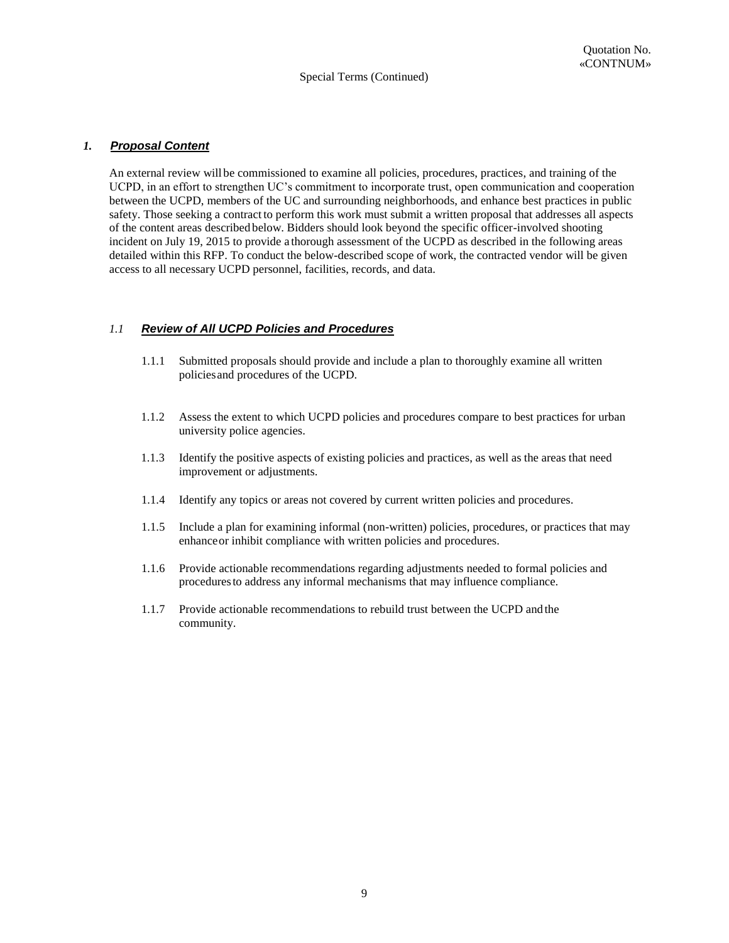# *1. Proposal Content*

An external review will be commissioned to examine all policies, procedures, practices, and training of the UCPD, in an effort to strengthen UC's commitment to incorporate trust, open communication and cooperation between the UCPD, members of the UC and surrounding neighborhoods, and enhance best practices in public safety. Those seeking a contract to perform this work must submit a written proposal that addresses all aspects of the content areas described below. Bidders should look beyond the specific officer-involved shooting incident on July 19, 2015 to provide a thorough assessment of the UCPD as described in the following areas detailed within this RFP. To conduct the below-described scope of work, the contracted vendor will be given access to all necessary UCPD personnel, facilities, records, and data.

# *1.1 Review of All UCPD Policies and Procedures*

- 1.1.1 Submitted proposals should provide and include a plan to thoroughly examine all written policies and procedures of the UCPD.
- 1.1.2 Assess the extent to which UCPD policies and procedures compare to best practices for urban university police agencies.
- 1.1.3 Identify the positive aspects of existing policies and practices, as well as the areas that need improvement or adjustments.
- 1.1.4 Identify any topics or areas not covered by current written policies and procedures.
- 1.1.5 Include a plan for examining informal (non-written) policies, procedures, or practices that may enhance or inhibit compliance with written policies and procedures.
- 1.1.6 Provide actionable recommendations regarding adjustments needed to formal policies and procedures to address any informal mechanisms that may influence compliance.
- 1.1.7 Provide actionable recommendations to rebuild trust between the UCPD and the community.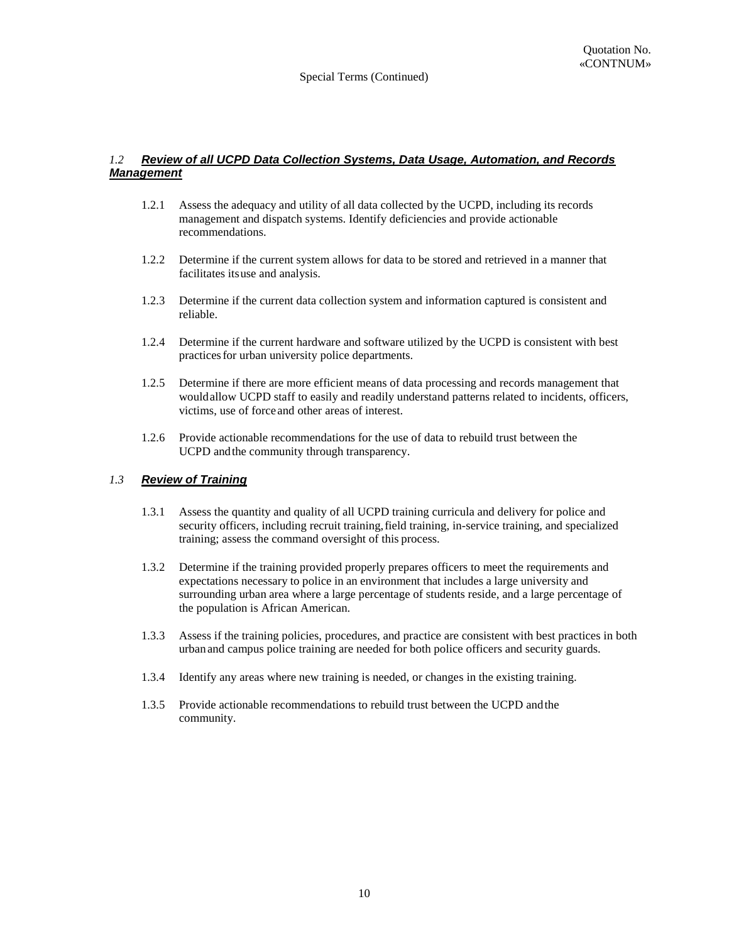#### *1.2 Review of all UCPD Data Collection Systems, Data Usage, Automation, and Records Management*

- 1.2.1 Assess the adequacy and utility of all data collected by the UCPD, including its records management and dispatch systems. Identify deficiencies and provide actionable recommendations.
- 1.2.2 Determine if the current system allows for data to be stored and retrieved in a manner that facilitates its use and analysis.
- 1.2.3 Determine if the current data collection system and information captured is consistent and reliable.
- 1.2.4 Determine if the current hardware and software utilized by the UCPD is consistent with best practices for urban university police departments.
- 1.2.5 Determine if there are more efficient means of data processing and records management that would allow UCPD staff to easily and readily understand patterns related to incidents, officers, victims, use of force and other areas of interest.
- 1.2.6 Provide actionable recommendations for the use of data to rebuild trust between the UCPD and the community through transparency.

#### *1.3 Review of Training*

- 1.3.1 Assess the quantity and quality of all UCPD training curricula and delivery for police and security officers, including recruit training, field training, in-service training, and specialized training; assess the command oversight of this process.
- 1.3.2 Determine if the training provided properly prepares officers to meet the requirements and expectations necessary to police in an environment that includes a large university and surrounding urban area where a large percentage of students reside, and a large percentage of the population is African American.
- 1.3.3 Assess if the training policies, procedures, and practice are consistent with best practices in both urban and campus police training are needed for both police officers and security guards.
- 1.3.4 Identify any areas where new training is needed, or changes in the existing training.
- 1.3.5 Provide actionable recommendations to rebuild trust between the UCPD and the community.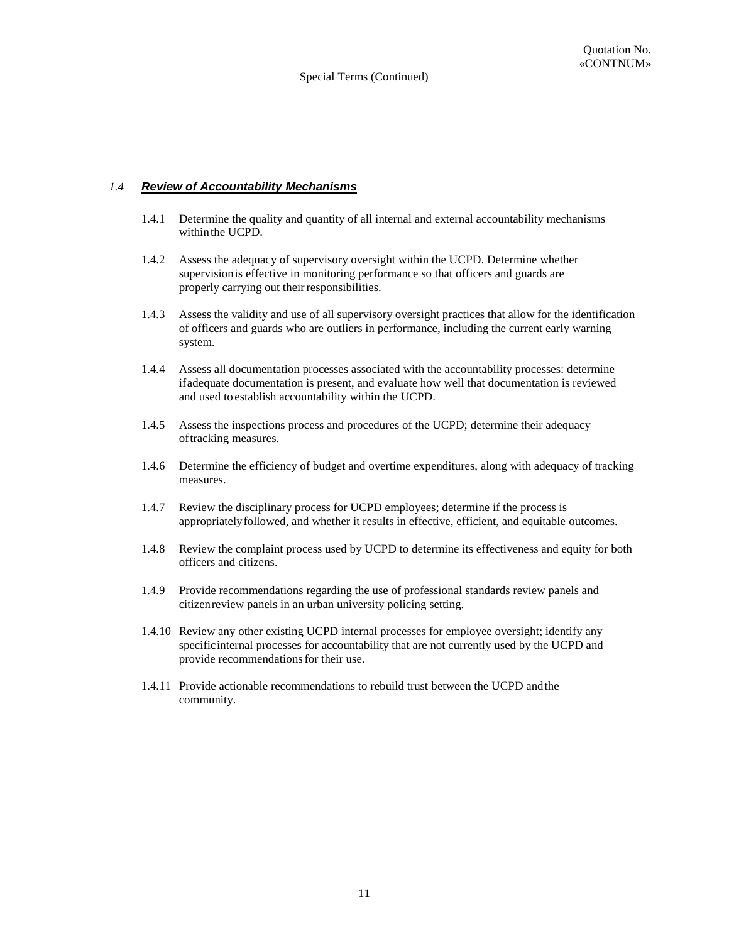# *1.4 Review of Accountability Mechanisms*

- 1.4.1 Determine the quality and quantity of all internal and external accountability mechanisms within the UCPD.
- 1.4.2 Assess the adequacy of supervisory oversight within the UCPD. Determine whether supervision is effective in monitoring performance so that officers and guards are properly carrying out their responsibilities.
- 1.4.3 Assess the validity and use of all supervisory oversight practices that allow for the identification of officers and guards who are outliers in performance, including the current early warning system.
- 1.4.4 Assess all documentation processes associated with the accountability processes: determine if adequate documentation is present, and evaluate how well that documentation is reviewed and used to establish accountability within the UCPD.
- 1.4.5 Assess the inspections process and procedures of the UCPD; determine their adequacy of tracking measures.
- 1.4.6 Determine the efficiency of budget and overtime expenditures, along with adequacy of tracking measures.
- 1.4.7 Review the disciplinary process for UCPD employees; determine if the process is appropriately followed, and whether it results in effective, efficient, and equitable outcomes.
- 1.4.8 Review the complaint process used by UCPD to determine its effectiveness and equity for both officers and citizens.
- 1.4.9 Provide recommendations regarding the use of professional standards review panels and citizen review panels in an urban university policing setting.
- 1.4.10 Review any other existing UCPD internal processes for employee oversight; identify any specific internal processes for accountability that are not currently used by the UCPD and provide recommendations for their use.
- 1.4.11 Provide actionable recommendations to rebuild trust between the UCPD and the community.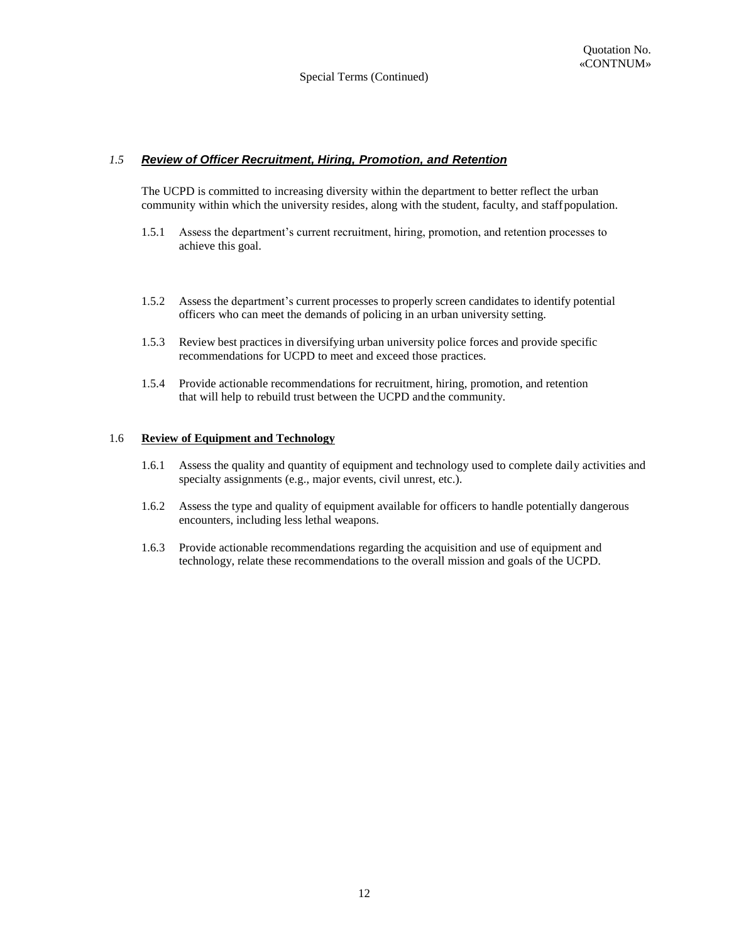# *1.5 Review of Officer Recruitment, Hiring, Promotion, and Retention*

The UCPD is committed to increasing diversity within the department to better reflect the urban community within which the university resides, along with the student, faculty, and staff population.

- 1.5.1 Assess the department's current recruitment, hiring, promotion, and retention processes to achieve this goal.
- 1.5.2 Assess the department's current processes to properly screen candidates to identify potential officers who can meet the demands of policing in an urban university setting.
- 1.5.3 Review best practices in diversifying urban university police forces and provide specific recommendations for UCPD to meet and exceed those practices.
- 1.5.4 Provide actionable recommendations for recruitment, hiring, promotion, and retention that will help to rebuild trust between the UCPD and the community.

#### 1.6 **Review of Equipment and Technology**

- 1.6.1 Assess the quality and quantity of equipment and technology used to complete daily activities and specialty assignments (e.g., major events, civil unrest, etc.).
- 1.6.2 Assess the type and quality of equipment available for officers to handle potentially dangerous encounters, including less lethal weapons.
- 1.6.3 Provide actionable recommendations regarding the acquisition and use of equipment and technology, relate these recommendations to the overall mission and goals of the UCPD.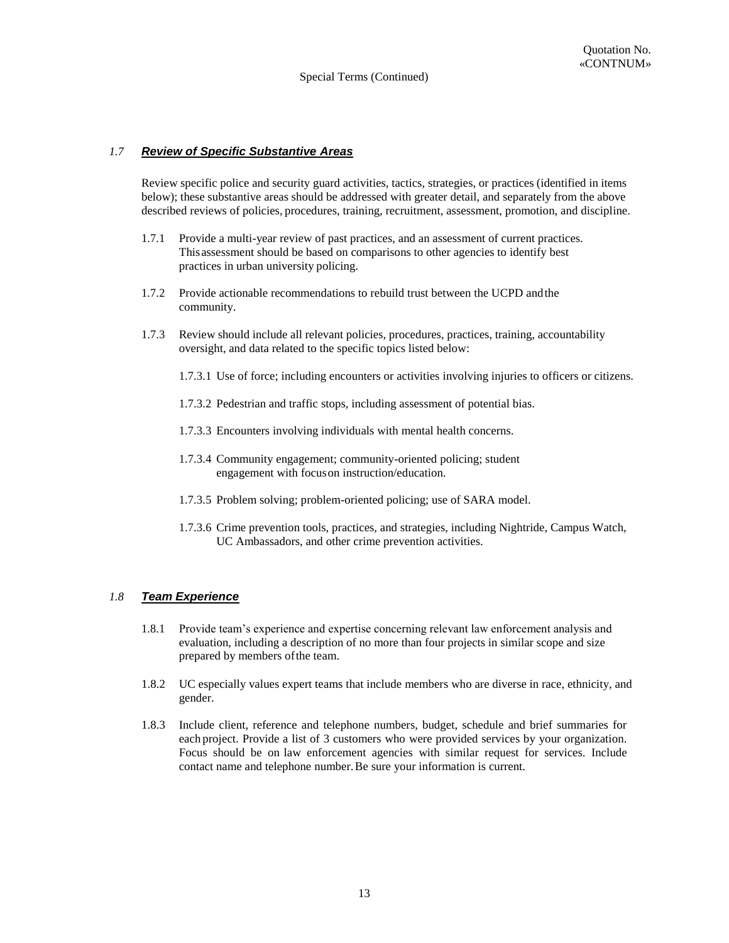# *1.7 Review of Specific Substantive Areas*

Review specific police and security guard activities, tactics, strategies, or practices (identified in items below); these substantive areas should be addressed with greater detail, and separately from the above described reviews of policies, procedures, training, recruitment, assessment, promotion, and discipline.

- 1.7.1 Provide a multi-year review of past practices, and an assessment of current practices. This assessment should be based on comparisons to other agencies to identify best practices in urban university policing.
- 1.7.2 Provide actionable recommendations to rebuild trust between the UCPD and the community.
- 1.7.3 Review should include all relevant policies, procedures, practices, training, accountability oversight, and data related to the specific topics listed below:
	- 1.7.3.1 Use of force; including encounters or activities involving injuries to officers or citizens.
	- 1.7.3.2 Pedestrian and traffic stops, including assessment of potential bias.
	- 1.7.3.3 Encounters involving individuals with mental health concerns.
	- 1.7.3.4 Community engagement; community-oriented policing; student engagement with focus on instruction/education.
	- 1.7.3.5 Problem solving; problem-oriented policing; use of SARA model.
	- 1.7.3.6 Crime prevention tools, practices, and strategies, including Nightride, Campus Watch, UC Ambassadors, and other crime prevention activities.

# *1.8 Team Experience*

- 1.8.1 Provide team's experience and expertise concerning relevant law enforcement analysis and evaluation, including a description of no more than four projects in similar scope and size prepared by members of the team.
- 1.8.2 UC especially values expert teams that include members who are diverse in race, ethnicity, and gender.
- 1.8.3 Include client, reference and telephone numbers, budget, schedule and brief summaries for each project. Provide a list of 3 customers who were provided services by your organization. Focus should be on law enforcement agencies with similar request for services. Include contact name and telephone number. Be sure your information is current.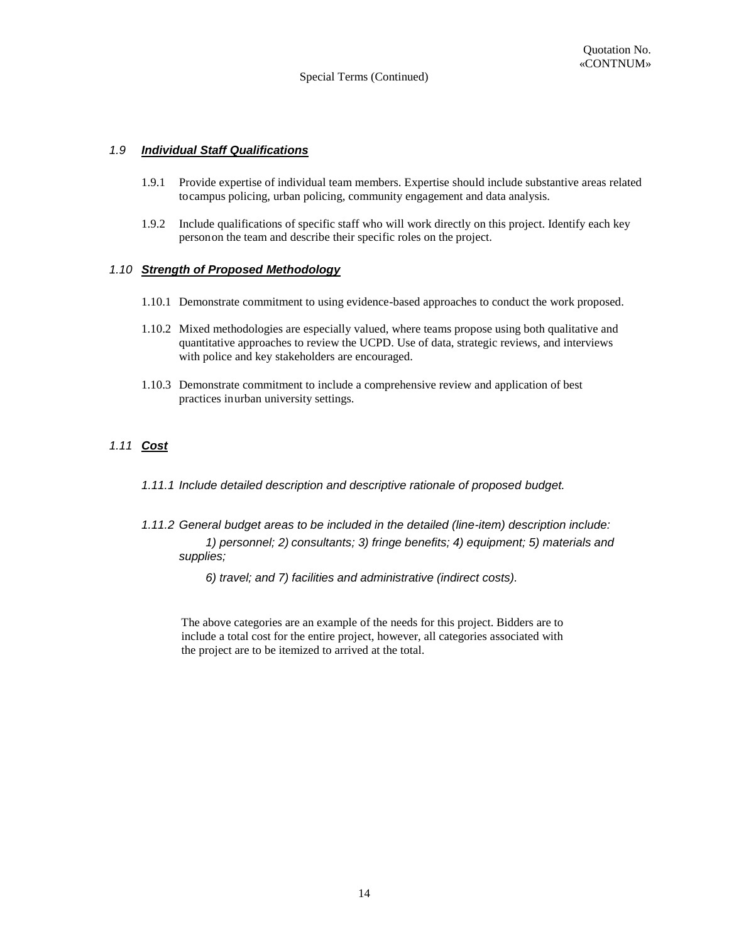# *1.9 Individual Staff Qualifications*

- 1.9.1 Provide expertise of individual team members. Expertise should include substantive areas related to campus policing, urban policing, community engagement and data analysis.
- 1.9.2 Include qualifications of specific staff who will work directly on this project. Identify each key person on the team and describe their specific roles on the project.

#### *1.10 Strength of Proposed Methodology*

- 1.10.1 Demonstrate commitment to using evidence-based approaches to conduct the work proposed.
- 1.10.2 Mixed methodologies are especially valued, where teams propose using both qualitative and quantitative approaches to review the UCPD. Use of data, strategic reviews, and interviews with police and key stakeholders are encouraged.
- 1.10.3 Demonstrate commitment to include a comprehensive review and application of best practices in urban university settings.

# *1.11 Cost*

- *1.11.1 Include detailed description and descriptive rationale of proposed budget.*
- *1.11.2 General budget areas to be included in the detailed (line-item) description include: 1) personnel; 2) consultants; 3) fringe benefits; 4) equipment; 5) materials and supplies;* 
	- *6) travel; and 7) facilities and administrative (indirect costs).*

 The above categories are an example of the needs for this project. Bidders are to include a total cost for the entire project, however, all categories associated with the project are to be itemized to arrived at the total.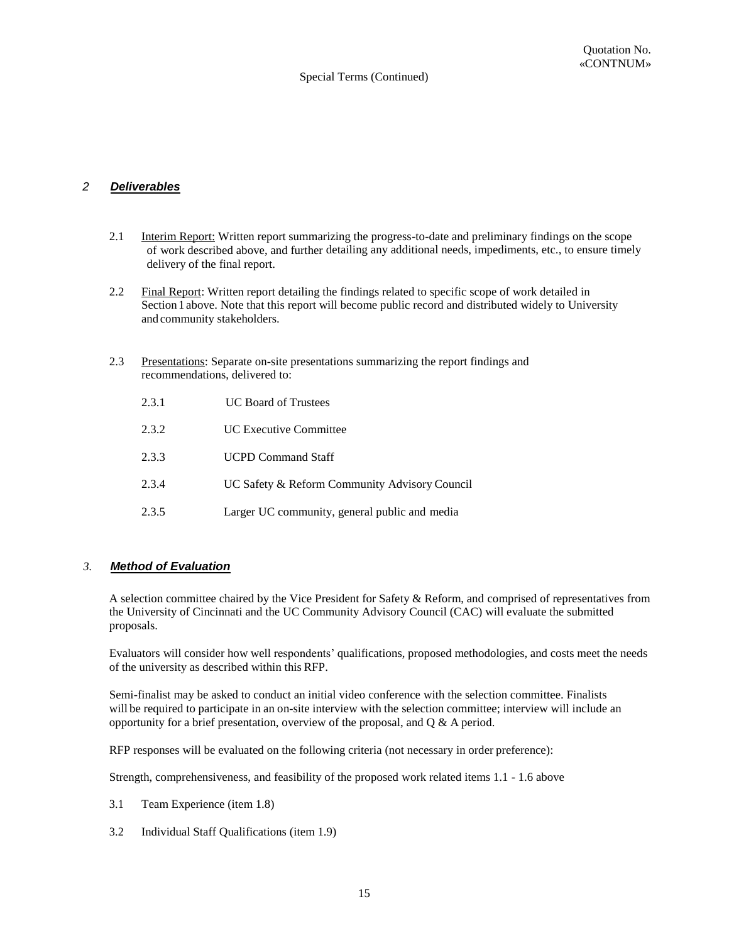# *2 Deliverables*

- 2.1 Interim Report: Written report summarizing the progress-to-date and preliminary findings on the scope of work described above, and further detailing any additional needs, impediments, etc., to ensure timely delivery of the final report.
- 2.2 Final Report: Written report detailing the findings related to specific scope of work detailed in Section 1 above. Note that this report will become public record and distributed widely to University and community stakeholders.
- 2.3 Presentations: Separate on-site presentations summarizing the report findings and recommendations, delivered to:
	- 2.3.1 UC Board of Trustees 2.3.2 UC Executive Committee 2.3.3 UCPD Command Staff 2.3.4 UC Safety & Reform Community Advisory Council 2.3.5 Larger UC community, general public and media

# *3. Method of Evaluation*

A selection committee chaired by the Vice President for Safety & Reform, and comprised of representatives from the University of Cincinnati and the UC Community Advisory Council (CAC) will evaluate the submitted proposals.

Evaluators will consider how well respondents' qualifications, proposed methodologies, and costs meet the needs of the university as described within this RFP.

Semi-finalist may be asked to conduct an initial video conference with the selection committee. Finalists will be required to participate in an on-site interview with the selection committee; interview will include an opportunity for a brief presentation, overview of the proposal, and  $\overline{O} \& A$  period.

RFP responses will be evaluated on the following criteria (not necessary in order preference):

Strength, comprehensiveness, and feasibility of the proposed work related items 1.1 - 1.6 above

- 3.1 Team Experience (item 1.8)
- 3.2 Individual Staff Qualifications (item 1.9)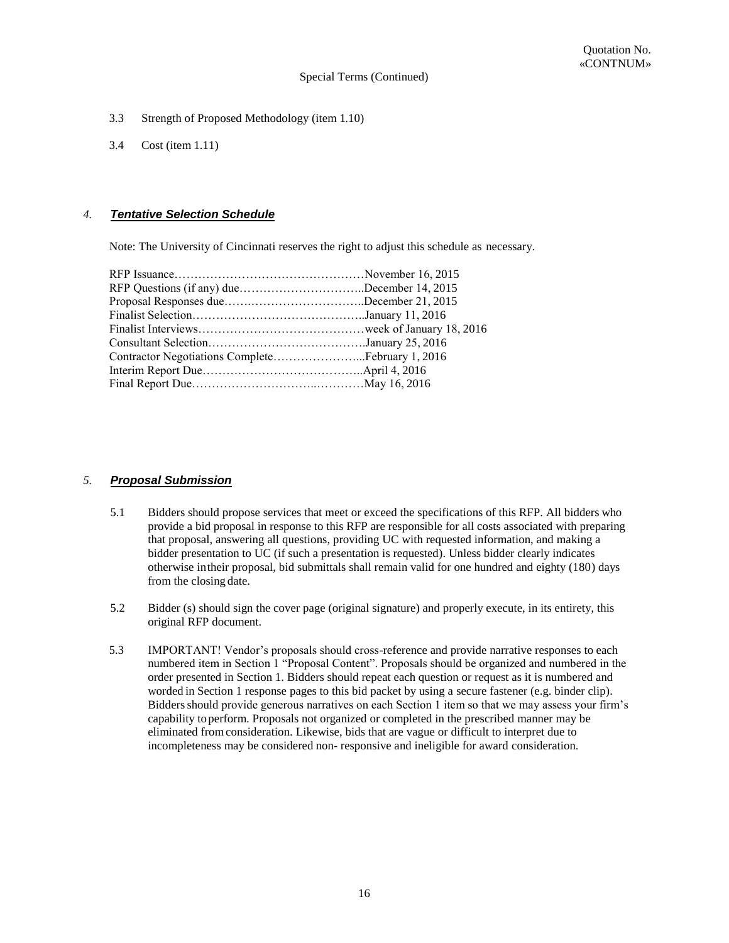- 3.3 Strength of Proposed Methodology (item 1.10)
- 3.4 Cost (item 1.11)

# *4. Tentative Selection Schedule*

Note: The University of Cincinnati reserves the right to adjust this schedule as necessary.

| RFP Questions (if any) dueDecember 14, 2015 |  |
|---------------------------------------------|--|
|                                             |  |
|                                             |  |
|                                             |  |
|                                             |  |
|                                             |  |
|                                             |  |
|                                             |  |
|                                             |  |

# *5. Proposal Submission*

- 5.1 Bidders should propose services that meet or exceed the specifications of this RFP. All bidders who provide a bid proposal in response to this RFP are responsible for all costs associated with preparing that proposal, answering all questions, providing UC with requested information, and making a bidder presentation to UC (if such a presentation is requested). Unless bidder clearly indicates otherwise in their proposal, bid submittals shall remain valid for one hundred and eighty (180) days from the closing date.
- 5.2 Bidder (s) should sign the cover page (original signature) and properly execute, in its entirety, this original RFP document.
- 5.3 IMPORTANT! Vendor's proposals should cross-reference and provide narrative responses to each numbered item in Section 1 "Proposal Content". Proposals should be organized and numbered in the order presented in Section 1. Bidders should repeat each question or request as it is numbered and worded in Section 1 response pages to this bid packet by using a secure fastener (e.g. binder clip). Bidders should provide generous narratives on each Section 1 item so that we may assess your firm's capability to perform. Proposals not organized or completed in the prescribed manner may be eliminated from consideration. Likewise, bids that are vague or difficult to interpret due to incompleteness may be considered non- responsive and ineligible for award consideration.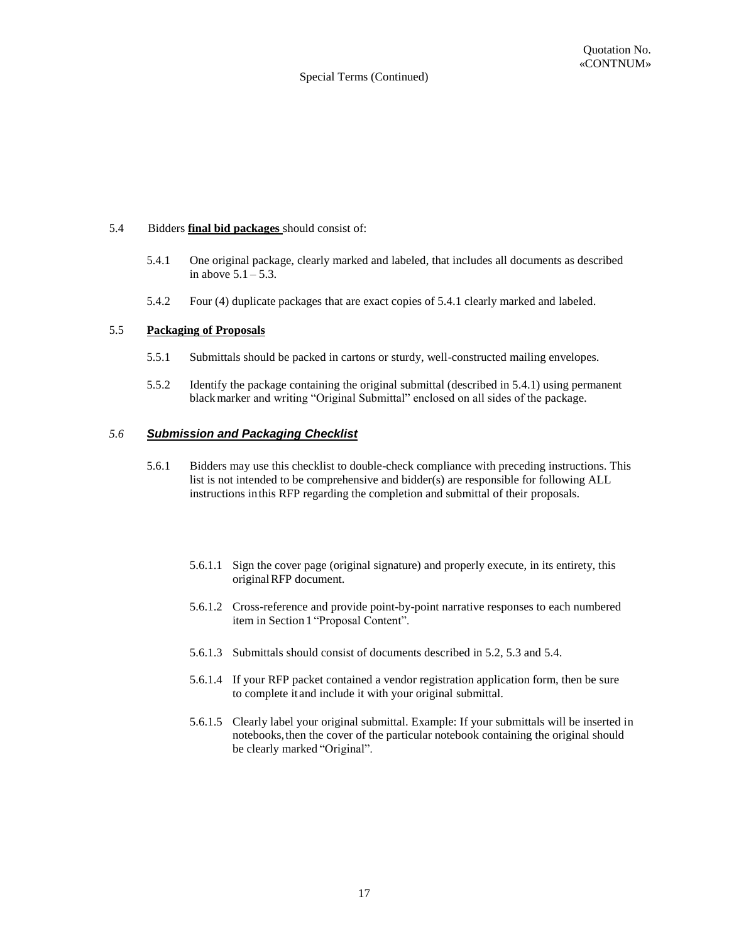#### 5.4 Bidders **final bid packages** should consist of:

- 5.4.1 One original package, clearly marked and labeled, that includes all documents as described in above  $5.1 - 5.3$ .
- 5.4.2 Four (4) duplicate packages that are exact copies of 5.4.1 clearly marked and labeled.

#### 5.5 **Packaging of Proposals**

- 5.5.1 Submittals should be packed in cartons or sturdy, well-constructed mailing envelopes.
- 5.5.2 Identify the package containing the original submittal (described in 5.4.1) using permanent black marker and writing "Original Submittal" enclosed on all sides of the package.

#### *5.6 Submission and Packaging Checklist*

- 5.6.1 Bidders may use this checklist to double-check compliance with preceding instructions. This list is not intended to be comprehensive and bidder(s) are responsible for following ALL instructions in this RFP regarding the completion and submittal of their proposals.
	- 5.6.1.1 Sign the cover page (original signature) and properly execute, in its entirety, this original RFP document.
	- 5.6.1.2 Cross-reference and provide point-by-point narrative responses to each numbered item in Section 1 "Proposal Content".
	- 5.6.1.3 Submittals should consist of documents described in 5.2, 5.3 and 5.4.
	- 5.6.1.4 If your RFP packet contained a vendor registration application form, then be sure to complete it and include it with your original submittal.
	- 5.6.1.5 Clearly label your original submittal. Example: If your submittals will be inserted in notebooks, then the cover of the particular notebook containing the original should be clearly marked "Original".